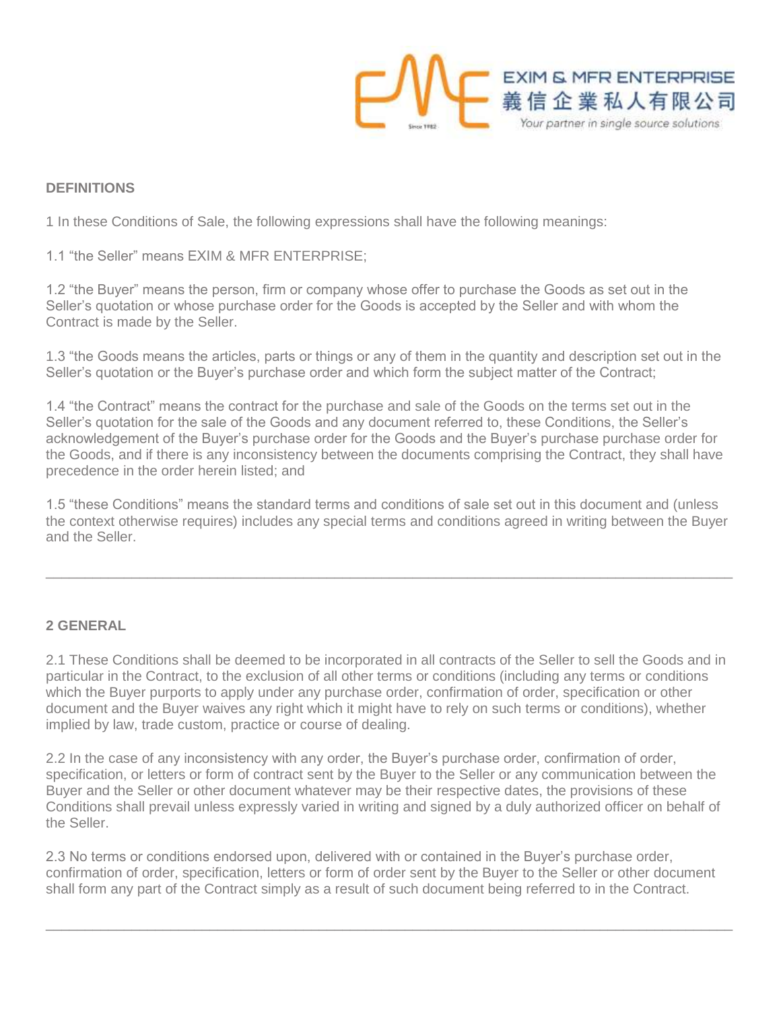

## **DEFINITIONS**

1 In these Conditions of Sale, the following expressions shall have the following meanings:

1.1 "the Seller" means EXIM & MFR ENTERPRISE;

1.2 "the Buyer" means the person, firm or company whose offer to purchase the Goods as set out in the Seller's quotation or whose purchase order for the Goods is accepted by the Seller and with whom the Contract is made by the Seller.

1.3 "the Goods means the articles, parts or things or any of them in the quantity and description set out in the Seller's quotation or the Buyer's purchase order and which form the subject matter of the Contract;

1.4 "the Contract" means the contract for the purchase and sale of the Goods on the terms set out in the Seller's quotation for the sale of the Goods and any document referred to, these Conditions, the Seller's acknowledgement of the Buyer's purchase order for the Goods and the Buyer's purchase purchase order for the Goods, and if there is any inconsistency between the documents comprising the Contract, they shall have precedence in the order herein listed; and

1.5 "these Conditions" means the standard terms and conditions of sale set out in this document and (unless the context otherwise requires) includes any special terms and conditions agreed in writing between the Buyer and the Seller.

 $\_$  , and the set of the set of the set of the set of the set of the set of the set of the set of the set of the set of the set of the set of the set of the set of the set of the set of the set of the set of the set of th

#### **2 GENERAL**

2.1 These Conditions shall be deemed to be incorporated in all contracts of the Seller to sell the Goods and in particular in the Contract, to the exclusion of all other terms or conditions (including any terms or conditions which the Buyer purports to apply under any purchase order, confirmation of order, specification or other document and the Buyer waives any right which it might have to rely on such terms or conditions), whether implied by law, trade custom, practice or course of dealing.

2.2 In the case of any inconsistency with any order, the Buyer's purchase order, confirmation of order, specification, or letters or form of contract sent by the Buyer to the Seller or any communication between the Buyer and the Seller or other document whatever may be their respective dates, the provisions of these Conditions shall prevail unless expressly varied in writing and signed by a duly authorized officer on behalf of the Seller.

2.3 No terms or conditions endorsed upon, delivered with or contained in the Buyer's purchase order, confirmation of order, specification, letters or form of order sent by the Buyer to the Seller or other document shall form any part of the Contract simply as a result of such document being referred to in the Contract.

 $\_$  , and the set of the set of the set of the set of the set of the set of the set of the set of the set of the set of the set of the set of the set of the set of the set of the set of the set of the set of the set of th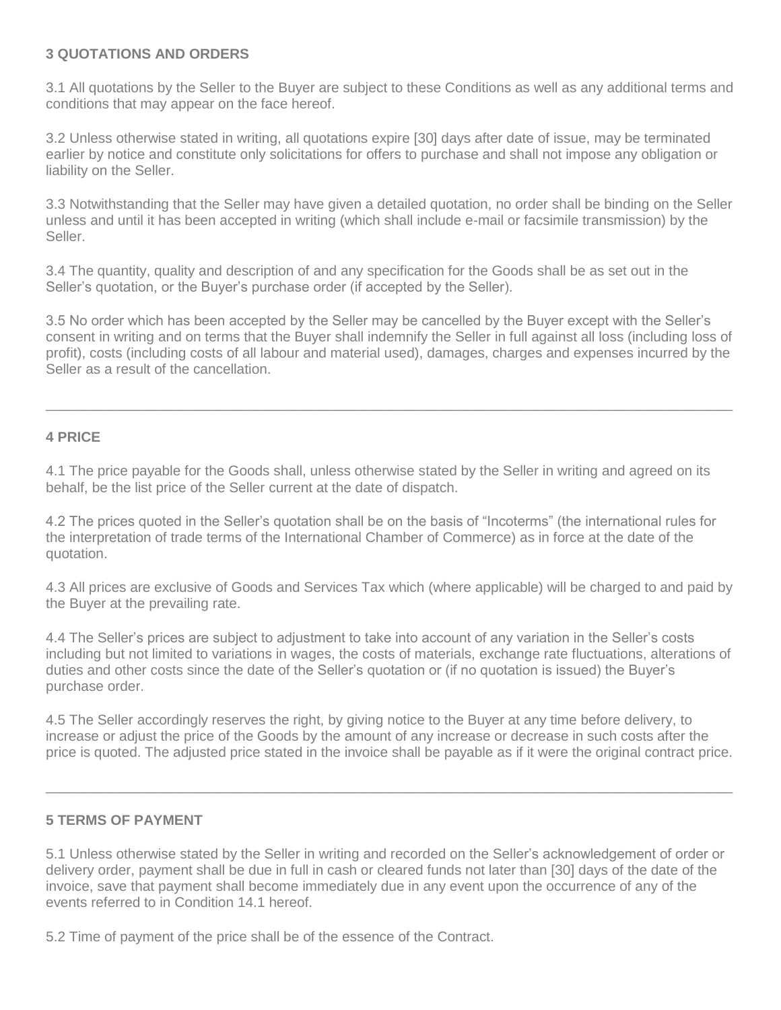## **3 QUOTATIONS AND ORDERS**

3.1 All quotations by the Seller to the Buyer are subject to these Conditions as well as any additional terms and conditions that may appear on the face hereof.

3.2 Unless otherwise stated in writing, all quotations expire [30] days after date of issue, may be terminated earlier by notice and constitute only solicitations for offers to purchase and shall not impose any obligation or liability on the Seller.

3.3 Notwithstanding that the Seller may have given a detailed quotation, no order shall be binding on the Seller unless and until it has been accepted in writing (which shall include e-mail or facsimile transmission) by the Seller.

3.4 The quantity, quality and description of and any specification for the Goods shall be as set out in the Seller's quotation, or the Buyer's purchase order (if accepted by the Seller).

3.5 No order which has been accepted by the Seller may be cancelled by the Buyer except with the Seller's consent in writing and on terms that the Buyer shall indemnify the Seller in full against all loss (including loss of profit), costs (including costs of all labour and material used), damages, charges and expenses incurred by the Seller as a result of the cancellation.

 $\_$  , and the set of the set of the set of the set of the set of the set of the set of the set of the set of the set of the set of the set of the set of the set of the set of the set of the set of the set of the set of th

#### **4 PRICE**

4.1 The price payable for the Goods shall, unless otherwise stated by the Seller in writing and agreed on its behalf, be the list price of the Seller current at the date of dispatch.

4.2 The prices quoted in the Seller's quotation shall be on the basis of "Incoterms" (the international rules for the interpretation of trade terms of the International Chamber of Commerce) as in force at the date of the quotation.

4.3 All prices are exclusive of Goods and Services Tax which (where applicable) will be charged to and paid by the Buyer at the prevailing rate.

4.4 The Seller's prices are subject to adjustment to take into account of any variation in the Seller's costs including but not limited to variations in wages, the costs of materials, exchange rate fluctuations, alterations of duties and other costs since the date of the Seller's quotation or (if no quotation is issued) the Buyer's purchase order.

4.5 The Seller accordingly reserves the right, by giving notice to the Buyer at any time before delivery, to increase or adjust the price of the Goods by the amount of any increase or decrease in such costs after the price is quoted. The adjusted price stated in the invoice shall be payable as if it were the original contract price.

 $\_$  , and the set of the set of the set of the set of the set of the set of the set of the set of the set of the set of the set of the set of the set of the set of the set of the set of the set of the set of the set of th

## **5 TERMS OF PAYMENT**

5.1 Unless otherwise stated by the Seller in writing and recorded on the Seller's acknowledgement of order or delivery order, payment shall be due in full in cash or cleared funds not later than [30] days of the date of the invoice, save that payment shall become immediately due in any event upon the occurrence of any of the events referred to in Condition 14.1 hereof.

5.2 Time of payment of the price shall be of the essence of the Contract.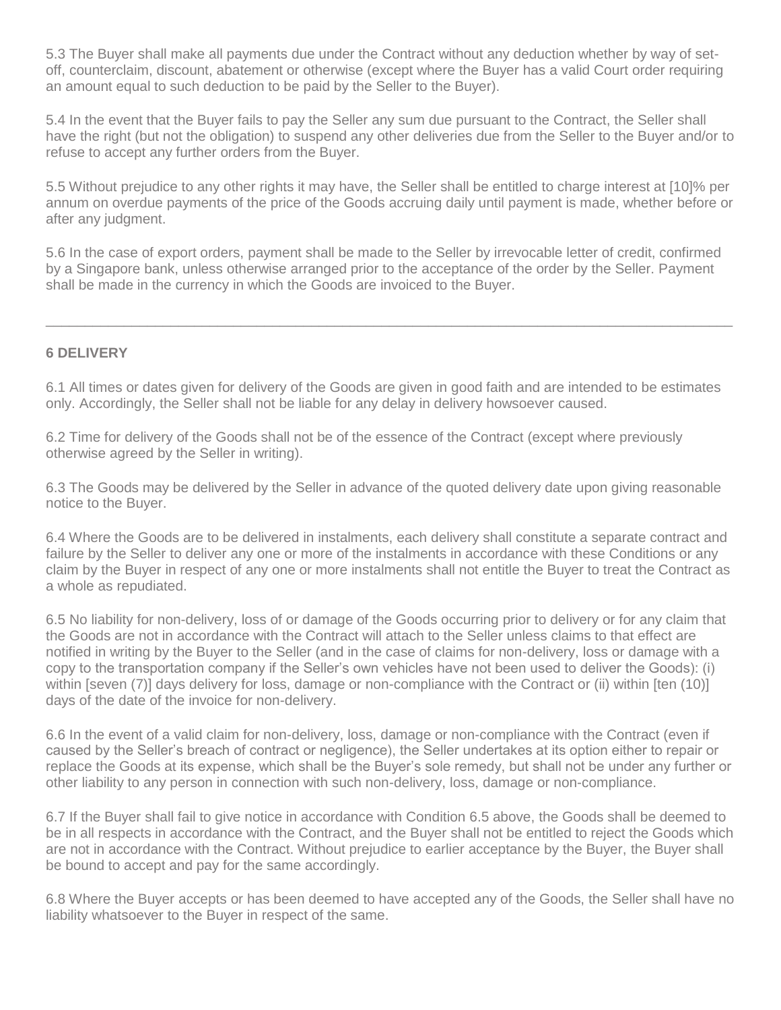5.3 The Buyer shall make all payments due under the Contract without any deduction whether by way of setoff, counterclaim, discount, abatement or otherwise (except where the Buyer has a valid Court order requiring an amount equal to such deduction to be paid by the Seller to the Buyer).

5.4 In the event that the Buyer fails to pay the Seller any sum due pursuant to the Contract, the Seller shall have the right (but not the obligation) to suspend any other deliveries due from the Seller to the Buyer and/or to refuse to accept any further orders from the Buyer.

5.5 Without prejudice to any other rights it may have, the Seller shall be entitled to charge interest at [10]% per annum on overdue payments of the price of the Goods accruing daily until payment is made, whether before or after any judgment.

5.6 In the case of export orders, payment shall be made to the Seller by irrevocable letter of credit, confirmed by a Singapore bank, unless otherwise arranged prior to the acceptance of the order by the Seller. Payment shall be made in the currency in which the Goods are invoiced to the Buyer.

\_\_\_\_\_\_\_\_\_\_\_\_\_\_\_\_\_\_\_\_\_\_\_\_\_\_\_\_\_\_\_\_\_\_\_\_\_\_\_\_\_\_\_\_\_\_\_\_\_\_\_\_\_\_\_\_\_\_\_\_\_\_\_\_\_\_\_\_\_\_\_\_\_\_\_\_\_\_\_\_\_\_\_\_\_\_\_\_

### **6 DELIVERY**

6.1 All times or dates given for delivery of the Goods are given in good faith and are intended to be estimates only. Accordingly, the Seller shall not be liable for any delay in delivery howsoever caused.

6.2 Time for delivery of the Goods shall not be of the essence of the Contract (except where previously otherwise agreed by the Seller in writing).

6.3 The Goods may be delivered by the Seller in advance of the quoted delivery date upon giving reasonable notice to the Buyer.

6.4 Where the Goods are to be delivered in instalments, each delivery shall constitute a separate contract and failure by the Seller to deliver any one or more of the instalments in accordance with these Conditions or any claim by the Buyer in respect of any one or more instalments shall not entitle the Buyer to treat the Contract as a whole as repudiated.

6.5 No liability for non-delivery, loss of or damage of the Goods occurring prior to delivery or for any claim that the Goods are not in accordance with the Contract will attach to the Seller unless claims to that effect are notified in writing by the Buyer to the Seller (and in the case of claims for non-delivery, loss or damage with a copy to the transportation company if the Seller's own vehicles have not been used to deliver the Goods): (i) within [seven (7)] days delivery for loss, damage or non-compliance with the Contract or (ii) within [ten (10)] days of the date of the invoice for non-delivery.

6.6 In the event of a valid claim for non-delivery, loss, damage or non-compliance with the Contract (even if caused by the Seller's breach of contract or negligence), the Seller undertakes at its option either to repair or replace the Goods at its expense, which shall be the Buyer's sole remedy, but shall not be under any further or other liability to any person in connection with such non-delivery, loss, damage or non-compliance.

6.7 If the Buyer shall fail to give notice in accordance with Condition 6.5 above, the Goods shall be deemed to be in all respects in accordance with the Contract, and the Buyer shall not be entitled to reject the Goods which are not in accordance with the Contract. Without prejudice to earlier acceptance by the Buyer, the Buyer shall be bound to accept and pay for the same accordingly.

6.8 Where the Buyer accepts or has been deemed to have accepted any of the Goods, the Seller shall have no liability whatsoever to the Buyer in respect of the same.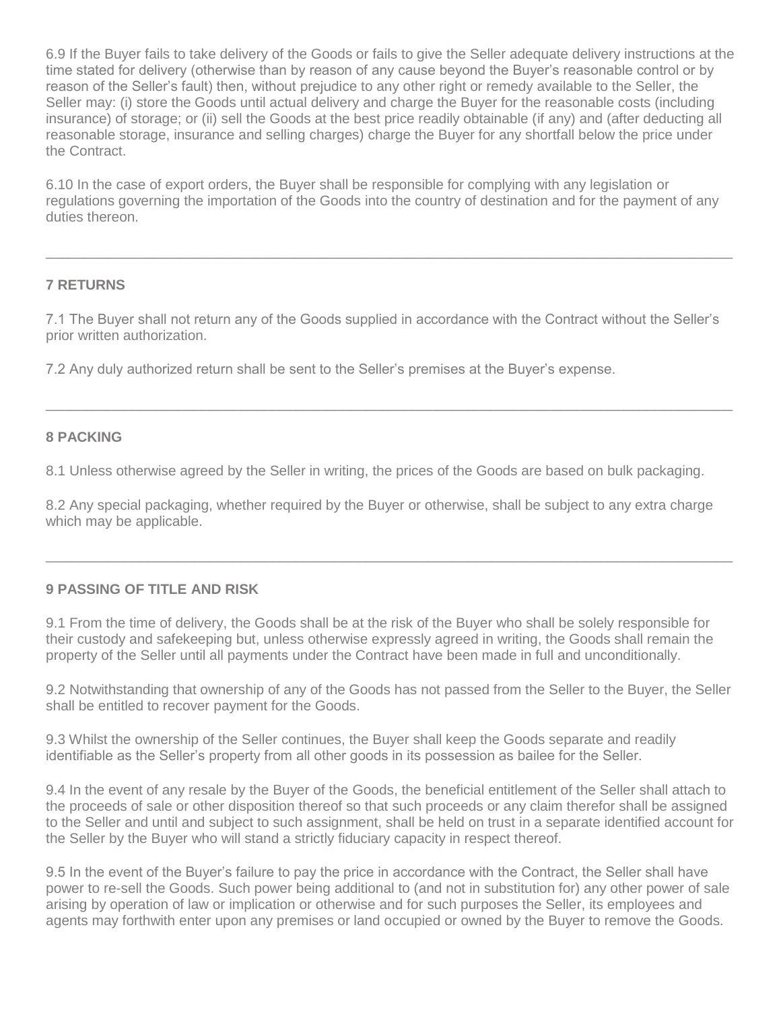6.9 If the Buyer fails to take delivery of the Goods or fails to give the Seller adequate delivery instructions at the time stated for delivery (otherwise than by reason of any cause beyond the Buyer's reasonable control or by reason of the Seller's fault) then, without prejudice to any other right or remedy available to the Seller, the Seller may: (i) store the Goods until actual delivery and charge the Buyer for the reasonable costs (including insurance) of storage; or (ii) sell the Goods at the best price readily obtainable (if any) and (after deducting all reasonable storage, insurance and selling charges) charge the Buyer for any shortfall below the price under the Contract.

6.10 In the case of export orders, the Buyer shall be responsible for complying with any legislation or regulations governing the importation of the Goods into the country of destination and for the payment of any duties thereon.

 $\_$  , and the set of the set of the set of the set of the set of the set of the set of the set of the set of the set of the set of the set of the set of the set of the set of the set of the set of the set of the set of th

## **7 RETURNS**

7.1 The Buyer shall not return any of the Goods supplied in accordance with the Contract without the Seller's prior written authorization.

 $\_$  , and the set of the set of the set of the set of the set of the set of the set of the set of the set of the set of the set of the set of the set of the set of the set of the set of the set of the set of the set of th

7.2 Any duly authorized return shall be sent to the Seller's premises at the Buyer's expense.

#### **8 PACKING**

8.1 Unless otherwise agreed by the Seller in writing, the prices of the Goods are based on bulk packaging.

8.2 Any special packaging, whether required by the Buyer or otherwise, shall be subject to any extra charge which may be applicable.

 $\_$  , and the set of the set of the set of the set of the set of the set of the set of the set of the set of the set of the set of the set of the set of the set of the set of the set of the set of the set of the set of th

# **9 PASSING OF TITLE AND RISK**

9.1 From the time of delivery, the Goods shall be at the risk of the Buyer who shall be solely responsible for their custody and safekeeping but, unless otherwise expressly agreed in writing, the Goods shall remain the property of the Seller until all payments under the Contract have been made in full and unconditionally.

9.2 Notwithstanding that ownership of any of the Goods has not passed from the Seller to the Buyer, the Seller shall be entitled to recover payment for the Goods.

9.3 Whilst the ownership of the Seller continues, the Buyer shall keep the Goods separate and readily identifiable as the Seller's property from all other goods in its possession as bailee for the Seller.

9.4 In the event of any resale by the Buyer of the Goods, the beneficial entitlement of the Seller shall attach to the proceeds of sale or other disposition thereof so that such proceeds or any claim therefor shall be assigned to the Seller and until and subject to such assignment, shall be held on trust in a separate identified account for the Seller by the Buyer who will stand a strictly fiduciary capacity in respect thereof.

9.5 In the event of the Buyer's failure to pay the price in accordance with the Contract, the Seller shall have power to re-sell the Goods. Such power being additional to (and not in substitution for) any other power of sale arising by operation of law or implication or otherwise and for such purposes the Seller, its employees and agents may forthwith enter upon any premises or land occupied or owned by the Buyer to remove the Goods.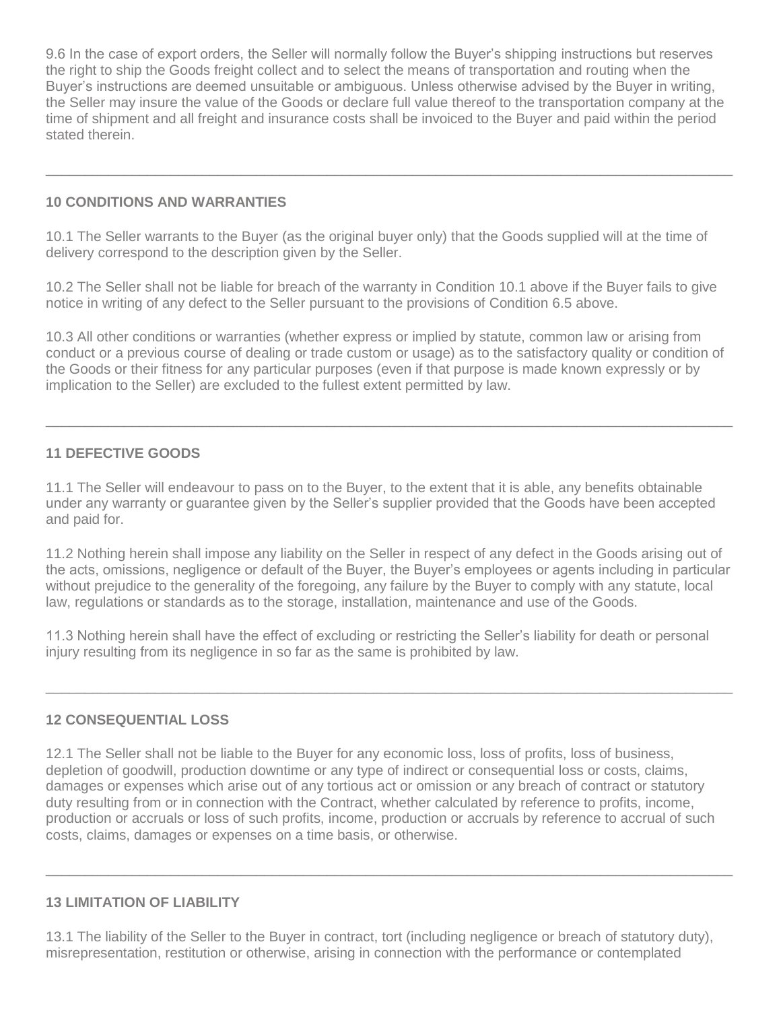9.6 In the case of export orders, the Seller will normally follow the Buyer's shipping instructions but reserves the right to ship the Goods freight collect and to select the means of transportation and routing when the Buyer's instructions are deemed unsuitable or ambiguous. Unless otherwise advised by the Buyer in writing, the Seller may insure the value of the Goods or declare full value thereof to the transportation company at the time of shipment and all freight and insurance costs shall be invoiced to the Buyer and paid within the period stated therein.

 $\_$  , and the set of the set of the set of the set of the set of the set of the set of the set of the set of the set of the set of the set of the set of the set of the set of the set of the set of the set of the set of th

## **10 CONDITIONS AND WARRANTIES**

10.1 The Seller warrants to the Buyer (as the original buyer only) that the Goods supplied will at the time of delivery correspond to the description given by the Seller.

10.2 The Seller shall not be liable for breach of the warranty in Condition 10.1 above if the Buyer fails to give notice in writing of any defect to the Seller pursuant to the provisions of Condition 6.5 above.

10.3 All other conditions or warranties (whether express or implied by statute, common law or arising from conduct or a previous course of dealing or trade custom or usage) as to the satisfactory quality or condition of the Goods or their fitness for any particular purposes (even if that purpose is made known expressly or by implication to the Seller) are excluded to the fullest extent permitted by law.

 $\_$  , and the set of the set of the set of the set of the set of the set of the set of the set of the set of the set of the set of the set of the set of the set of the set of the set of the set of the set of the set of th

# **11 DEFECTIVE GOODS**

11.1 The Seller will endeavour to pass on to the Buyer, to the extent that it is able, any benefits obtainable under any warranty or guarantee given by the Seller's supplier provided that the Goods have been accepted and paid for.

11.2 Nothing herein shall impose any liability on the Seller in respect of any defect in the Goods arising out of the acts, omissions, negligence or default of the Buyer, the Buyer's employees or agents including in particular without prejudice to the generality of the foregoing, any failure by the Buyer to comply with any statute, local law, regulations or standards as to the storage, installation, maintenance and use of the Goods.

11.3 Nothing herein shall have the effect of excluding or restricting the Seller's liability for death or personal injury resulting from its negligence in so far as the same is prohibited by law.

 $\_$  , and the set of the set of the set of the set of the set of the set of the set of the set of the set of the set of the set of the set of the set of the set of the set of the set of the set of the set of the set of th

## **12 CONSEQUENTIAL LOSS**

12.1 The Seller shall not be liable to the Buyer for any economic loss, loss of profits, loss of business, depletion of goodwill, production downtime or any type of indirect or consequential loss or costs, claims, damages or expenses which arise out of any tortious act or omission or any breach of contract or statutory duty resulting from or in connection with the Contract, whether calculated by reference to profits, income, production or accruals or loss of such profits, income, production or accruals by reference to accrual of such costs, claims, damages or expenses on a time basis, or otherwise.

## **13 LIMITATION OF LIABILITY**

13.1 The liability of the Seller to the Buyer in contract, tort (including negligence or breach of statutory duty), misrepresentation, restitution or otherwise, arising in connection with the performance or contemplated

 $\_$  , and the set of the set of the set of the set of the set of the set of the set of the set of the set of the set of the set of the set of the set of the set of the set of the set of the set of the set of the set of th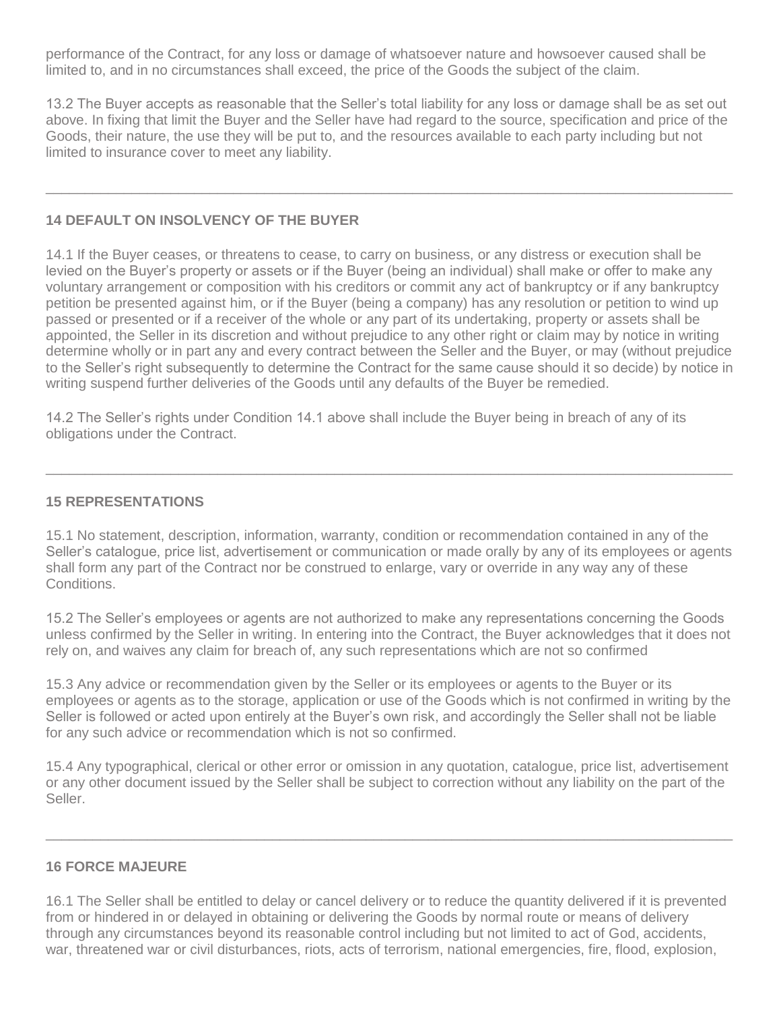performance of the Contract, for any loss or damage of whatsoever nature and howsoever caused shall be limited to, and in no circumstances shall exceed, the price of the Goods the subject of the claim.

13.2 The Buyer accepts as reasonable that the Seller's total liability for any loss or damage shall be as set out above. In fixing that limit the Buyer and the Seller have had regard to the source, specification and price of the Goods, their nature, the use they will be put to, and the resources available to each party including but not limited to insurance cover to meet any liability.

 $\_$  , and the set of the set of the set of the set of the set of the set of the set of the set of the set of the set of the set of the set of the set of the set of the set of the set of the set of the set of the set of th

## **14 DEFAULT ON INSOLVENCY OF THE BUYER**

14.1 If the Buyer ceases, or threatens to cease, to carry on business, or any distress or execution shall be levied on the Buyer's property or assets or if the Buyer (being an individual) shall make or offer to make any voluntary arrangement or composition with his creditors or commit any act of bankruptcy or if any bankruptcy petition be presented against him, or if the Buyer (being a company) has any resolution or petition to wind up passed or presented or if a receiver of the whole or any part of its undertaking, property or assets shall be appointed, the Seller in its discretion and without prejudice to any other right or claim may by notice in writing determine wholly or in part any and every contract between the Seller and the Buyer, or may (without prejudice to the Seller's right subsequently to determine the Contract for the same cause should it so decide) by notice in writing suspend further deliveries of the Goods until any defaults of the Buyer be remedied.

14.2 The Seller's rights under Condition 14.1 above shall include the Buyer being in breach of any of its obligations under the Contract.

### **15 REPRESENTATIONS**

15.1 No statement, description, information, warranty, condition or recommendation contained in any of the Seller's catalogue, price list, advertisement or communication or made orally by any of its employees or agents shall form any part of the Contract nor be construed to enlarge, vary or override in any way any of these Conditions.

 $\_$  , and the set of the set of the set of the set of the set of the set of the set of the set of the set of the set of the set of the set of the set of the set of the set of the set of the set of the set of the set of th

15.2 The Seller's employees or agents are not authorized to make any representations concerning the Goods unless confirmed by the Seller in writing. In entering into the Contract, the Buyer acknowledges that it does not rely on, and waives any claim for breach of, any such representations which are not so confirmed

15.3 Any advice or recommendation given by the Seller or its employees or agents to the Buyer or its employees or agents as to the storage, application or use of the Goods which is not confirmed in writing by the Seller is followed or acted upon entirely at the Buyer's own risk, and accordingly the Seller shall not be liable for any such advice or recommendation which is not so confirmed.

15.4 Any typographical, clerical or other error or omission in any quotation, catalogue, price list, advertisement or any other document issued by the Seller shall be subject to correction without any liability on the part of the Seller.

 $\_$  , and the set of the set of the set of the set of the set of the set of the set of the set of the set of the set of the set of the set of the set of the set of the set of the set of the set of the set of the set of th

## **16 FORCE MAJEURE**

16.1 The Seller shall be entitled to delay or cancel delivery or to reduce the quantity delivered if it is prevented from or hindered in or delayed in obtaining or delivering the Goods by normal route or means of delivery through any circumstances beyond its reasonable control including but not limited to act of God, accidents, war, threatened war or civil disturbances, riots, acts of terrorism, national emergencies, fire, flood, explosion,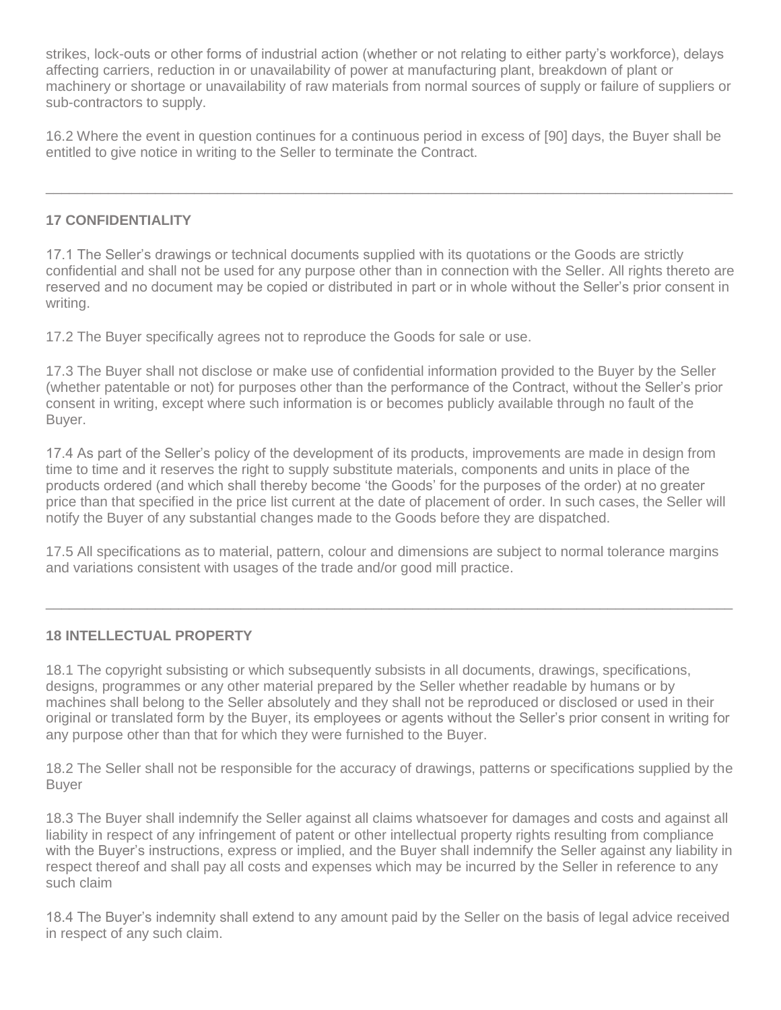strikes, lock-outs or other forms of industrial action (whether or not relating to either party's workforce), delays affecting carriers, reduction in or unavailability of power at manufacturing plant, breakdown of plant or machinery or shortage or unavailability of raw materials from normal sources of supply or failure of suppliers or sub-contractors to supply.

16.2 Where the event in question continues for a continuous period in excess of [90] days, the Buyer shall be entitled to give notice in writing to the Seller to terminate the Contract.

 $\_$  , and the set of the set of the set of the set of the set of the set of the set of the set of the set of the set of the set of the set of the set of the set of the set of the set of the set of the set of the set of th

# **17 CONFIDENTIALITY**

17.1 The Seller's drawings or technical documents supplied with its quotations or the Goods are strictly confidential and shall not be used for any purpose other than in connection with the Seller. All rights thereto are reserved and no document may be copied or distributed in part or in whole without the Seller's prior consent in writing.

17.2 The Buyer specifically agrees not to reproduce the Goods for sale or use.

17.3 The Buyer shall not disclose or make use of confidential information provided to the Buyer by the Seller (whether patentable or not) for purposes other than the performance of the Contract, without the Seller's prior consent in writing, except where such information is or becomes publicly available through no fault of the Buyer.

17.4 As part of the Seller's policy of the development of its products, improvements are made in design from time to time and it reserves the right to supply substitute materials, components and units in place of the products ordered (and which shall thereby become 'the Goods' for the purposes of the order) at no greater price than that specified in the price list current at the date of placement of order. In such cases, the Seller will notify the Buyer of any substantial changes made to the Goods before they are dispatched.

17.5 All specifications as to material, pattern, colour and dimensions are subject to normal tolerance margins and variations consistent with usages of the trade and/or good mill practice.

 $\_$  , and the set of the set of the set of the set of the set of the set of the set of the set of the set of the set of the set of the set of the set of the set of the set of the set of the set of the set of the set of th

## **18 INTELLECTUAL PROPERTY**

18.1 The copyright subsisting or which subsequently subsists in all documents, drawings, specifications, designs, programmes or any other material prepared by the Seller whether readable by humans or by machines shall belong to the Seller absolutely and they shall not be reproduced or disclosed or used in their original or translated form by the Buyer, its employees or agents without the Seller's prior consent in writing for any purpose other than that for which they were furnished to the Buyer.

18.2 The Seller shall not be responsible for the accuracy of drawings, patterns or specifications supplied by the Buyer

18.3 The Buyer shall indemnify the Seller against all claims whatsoever for damages and costs and against all liability in respect of any infringement of patent or other intellectual property rights resulting from compliance with the Buyer's instructions, express or implied, and the Buyer shall indemnify the Seller against any liability in respect thereof and shall pay all costs and expenses which may be incurred by the Seller in reference to any such claim

18.4 The Buyer's indemnity shall extend to any amount paid by the Seller on the basis of legal advice received in respect of any such claim.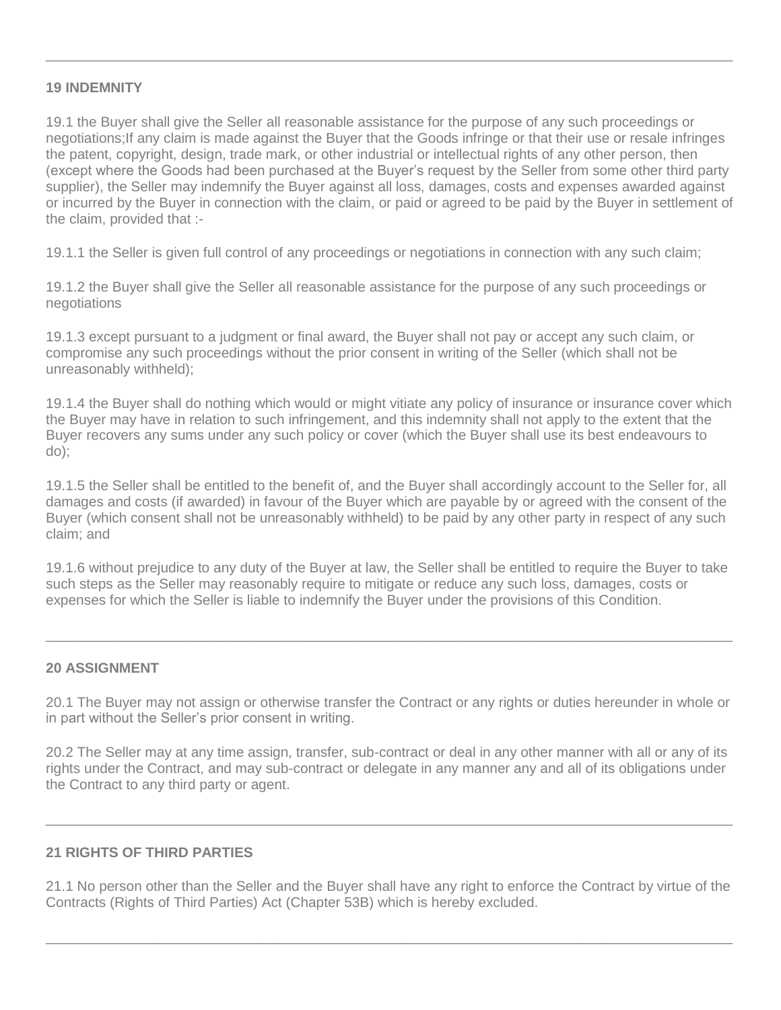### **19 INDEMNITY**

19.1 the Buyer shall give the Seller all reasonable assistance for the purpose of any such proceedings or negotiations;If any claim is made against the Buyer that the Goods infringe or that their use or resale infringes the patent, copyright, design, trade mark, or other industrial or intellectual rights of any other person, then (except where the Goods had been purchased at the Buyer's request by the Seller from some other third party supplier), the Seller may indemnify the Buyer against all loss, damages, costs and expenses awarded against or incurred by the Buyer in connection with the claim, or paid or agreed to be paid by the Buyer in settlement of the claim, provided that :-

 $\_$  , and the set of the set of the set of the set of the set of the set of the set of the set of the set of the set of the set of the set of the set of the set of the set of the set of the set of the set of the set of th

19.1.1 the Seller is given full control of any proceedings or negotiations in connection with any such claim;

19.1.2 the Buyer shall give the Seller all reasonable assistance for the purpose of any such proceedings or negotiations

19.1.3 except pursuant to a judgment or final award, the Buyer shall not pay or accept any such claim, or compromise any such proceedings without the prior consent in writing of the Seller (which shall not be unreasonably withheld);

19.1.4 the Buyer shall do nothing which would or might vitiate any policy of insurance or insurance cover which the Buyer may have in relation to such infringement, and this indemnity shall not apply to the extent that the Buyer recovers any sums under any such policy or cover (which the Buyer shall use its best endeavours to do);

19.1.5 the Seller shall be entitled to the benefit of, and the Buyer shall accordingly account to the Seller for, all damages and costs (if awarded) in favour of the Buyer which are payable by or agreed with the consent of the Buyer (which consent shall not be unreasonably withheld) to be paid by any other party in respect of any such claim; and

19.1.6 without prejudice to any duty of the Buyer at law, the Seller shall be entitled to require the Buyer to take such steps as the Seller may reasonably require to mitigate or reduce any such loss, damages, costs or expenses for which the Seller is liable to indemnify the Buyer under the provisions of this Condition.

 $\_$  , and the set of the set of the set of the set of the set of the set of the set of the set of the set of the set of the set of the set of the set of the set of the set of the set of the set of the set of the set of th

## **20 ASSIGNMENT**

20.1 The Buyer may not assign or otherwise transfer the Contract or any rights or duties hereunder in whole or in part without the Seller's prior consent in writing.

20.2 The Seller may at any time assign, transfer, sub-contract or deal in any other manner with all or any of its rights under the Contract, and may sub-contract or delegate in any manner any and all of its obligations under the Contract to any third party or agent.

 $\_$  , and the set of the set of the set of the set of the set of the set of the set of the set of the set of the set of the set of the set of the set of the set of the set of the set of the set of the set of the set of th

## **21 RIGHTS OF THIRD PARTIES**

21.1 No person other than the Seller and the Buyer shall have any right to enforce the Contract by virtue of the Contracts (Rights of Third Parties) Act (Chapter 53B) which is hereby excluded.

 $\_$  , and the set of the set of the set of the set of the set of the set of the set of the set of the set of the set of the set of the set of the set of the set of the set of the set of the set of the set of the set of th